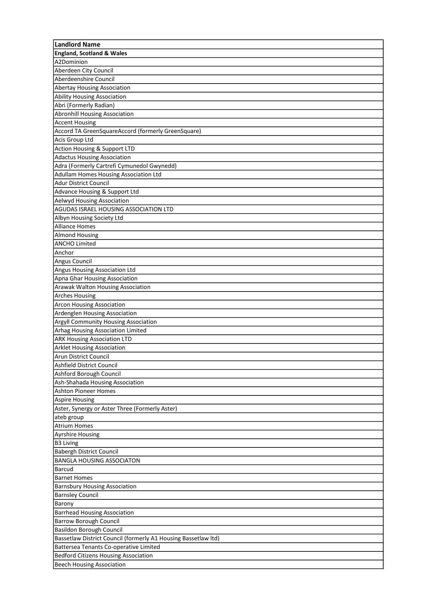| <b>England, Scotland &amp; Wales</b><br>A2Dominion<br>Aberdeen City Council<br>Aberdeenshire Council<br><b>Abertay Housing Association</b><br><b>Ability Housing Association</b><br>Abri (Formerly Radian)<br><b>Abronhill Housing Association</b><br><b>Accent Housing</b><br>Accord TA GreenSquareAccord (formerly GreenSquare)<br>Acis Group Ltd<br>Action Housing & Support LTD<br><b>Adactus Housing Association</b><br>Adra (Formerly Cartrefi Cymunedol Gwynedd)<br>Adullam Homes Housing Association Ltd<br><b>Adur District Council</b><br>Advance Housing & Support Ltd<br>Aelwyd Housing Association<br>AGUDAS ISRAEL HOUSING ASSOCIATION LTD<br>Albyn Housing Society Ltd<br><b>Alliance Homes</b><br><b>Almond Housing</b><br><b>ANCHO Limited</b><br>Anchor<br>Angus Council<br>Angus Housing Association Ltd<br>Apna Ghar Housing Association<br>Arawak Walton Housing Association<br><b>Arches Housing</b><br><b>Arcon Housing Association</b><br>Ardenglen Housing Association<br>Argyll Community Housing Association<br>Arhag Housing Association Limited<br><b>ARK Housing Association LTD</b><br><b>Arklet Housing Association</b><br>Arun District Council<br>Ashfield District Council<br>Ashford Borough Council<br>Ash-Shahada Housing Association<br>Ashton Pioneer Homes<br><b>Aspire Housing</b><br>Aster, Synergy or Aster Three (Formerly Aster)<br>ateb group<br><b>Atrium Homes</b><br><b>Ayrshire Housing</b><br><b>B3 Living</b><br>Babergh District Council<br><b>BANGLA HOUSING ASSOCIATON</b><br>Barcud<br><b>Barnet Homes</b><br><b>Barnsbury Housing Association</b><br><b>Barnsley Council</b><br>Barony<br><b>Barrhead Housing Association</b><br>Barrow Borough Council<br><b>Basildon Borough Council</b><br>Bassetlaw District Council (formerly A1 Housing Bassetlaw Itd)<br>Battersea Tenants Co-operative Limited<br><b>Bedford Citizens Housing Association</b><br><b>Beech Housing Association</b> | <b>Landlord Name</b> |
|-----------------------------------------------------------------------------------------------------------------------------------------------------------------------------------------------------------------------------------------------------------------------------------------------------------------------------------------------------------------------------------------------------------------------------------------------------------------------------------------------------------------------------------------------------------------------------------------------------------------------------------------------------------------------------------------------------------------------------------------------------------------------------------------------------------------------------------------------------------------------------------------------------------------------------------------------------------------------------------------------------------------------------------------------------------------------------------------------------------------------------------------------------------------------------------------------------------------------------------------------------------------------------------------------------------------------------------------------------------------------------------------------------------------------------------------------------------------------------------------------------------------------------------------------------------------------------------------------------------------------------------------------------------------------------------------------------------------------------------------------------------------------------------------------------------------------------------------------------------------------------------------------------------------------------------------------------|----------------------|
|                                                                                                                                                                                                                                                                                                                                                                                                                                                                                                                                                                                                                                                                                                                                                                                                                                                                                                                                                                                                                                                                                                                                                                                                                                                                                                                                                                                                                                                                                                                                                                                                                                                                                                                                                                                                                                                                                                                                                     |                      |
|                                                                                                                                                                                                                                                                                                                                                                                                                                                                                                                                                                                                                                                                                                                                                                                                                                                                                                                                                                                                                                                                                                                                                                                                                                                                                                                                                                                                                                                                                                                                                                                                                                                                                                                                                                                                                                                                                                                                                     |                      |
|                                                                                                                                                                                                                                                                                                                                                                                                                                                                                                                                                                                                                                                                                                                                                                                                                                                                                                                                                                                                                                                                                                                                                                                                                                                                                                                                                                                                                                                                                                                                                                                                                                                                                                                                                                                                                                                                                                                                                     |                      |
|                                                                                                                                                                                                                                                                                                                                                                                                                                                                                                                                                                                                                                                                                                                                                                                                                                                                                                                                                                                                                                                                                                                                                                                                                                                                                                                                                                                                                                                                                                                                                                                                                                                                                                                                                                                                                                                                                                                                                     |                      |
|                                                                                                                                                                                                                                                                                                                                                                                                                                                                                                                                                                                                                                                                                                                                                                                                                                                                                                                                                                                                                                                                                                                                                                                                                                                                                                                                                                                                                                                                                                                                                                                                                                                                                                                                                                                                                                                                                                                                                     |                      |
|                                                                                                                                                                                                                                                                                                                                                                                                                                                                                                                                                                                                                                                                                                                                                                                                                                                                                                                                                                                                                                                                                                                                                                                                                                                                                                                                                                                                                                                                                                                                                                                                                                                                                                                                                                                                                                                                                                                                                     |                      |
|                                                                                                                                                                                                                                                                                                                                                                                                                                                                                                                                                                                                                                                                                                                                                                                                                                                                                                                                                                                                                                                                                                                                                                                                                                                                                                                                                                                                                                                                                                                                                                                                                                                                                                                                                                                                                                                                                                                                                     |                      |
|                                                                                                                                                                                                                                                                                                                                                                                                                                                                                                                                                                                                                                                                                                                                                                                                                                                                                                                                                                                                                                                                                                                                                                                                                                                                                                                                                                                                                                                                                                                                                                                                                                                                                                                                                                                                                                                                                                                                                     |                      |
|                                                                                                                                                                                                                                                                                                                                                                                                                                                                                                                                                                                                                                                                                                                                                                                                                                                                                                                                                                                                                                                                                                                                                                                                                                                                                                                                                                                                                                                                                                                                                                                                                                                                                                                                                                                                                                                                                                                                                     |                      |
|                                                                                                                                                                                                                                                                                                                                                                                                                                                                                                                                                                                                                                                                                                                                                                                                                                                                                                                                                                                                                                                                                                                                                                                                                                                                                                                                                                                                                                                                                                                                                                                                                                                                                                                                                                                                                                                                                                                                                     |                      |
|                                                                                                                                                                                                                                                                                                                                                                                                                                                                                                                                                                                                                                                                                                                                                                                                                                                                                                                                                                                                                                                                                                                                                                                                                                                                                                                                                                                                                                                                                                                                                                                                                                                                                                                                                                                                                                                                                                                                                     |                      |
|                                                                                                                                                                                                                                                                                                                                                                                                                                                                                                                                                                                                                                                                                                                                                                                                                                                                                                                                                                                                                                                                                                                                                                                                                                                                                                                                                                                                                                                                                                                                                                                                                                                                                                                                                                                                                                                                                                                                                     |                      |
|                                                                                                                                                                                                                                                                                                                                                                                                                                                                                                                                                                                                                                                                                                                                                                                                                                                                                                                                                                                                                                                                                                                                                                                                                                                                                                                                                                                                                                                                                                                                                                                                                                                                                                                                                                                                                                                                                                                                                     |                      |
|                                                                                                                                                                                                                                                                                                                                                                                                                                                                                                                                                                                                                                                                                                                                                                                                                                                                                                                                                                                                                                                                                                                                                                                                                                                                                                                                                                                                                                                                                                                                                                                                                                                                                                                                                                                                                                                                                                                                                     |                      |
|                                                                                                                                                                                                                                                                                                                                                                                                                                                                                                                                                                                                                                                                                                                                                                                                                                                                                                                                                                                                                                                                                                                                                                                                                                                                                                                                                                                                                                                                                                                                                                                                                                                                                                                                                                                                                                                                                                                                                     |                      |
|                                                                                                                                                                                                                                                                                                                                                                                                                                                                                                                                                                                                                                                                                                                                                                                                                                                                                                                                                                                                                                                                                                                                                                                                                                                                                                                                                                                                                                                                                                                                                                                                                                                                                                                                                                                                                                                                                                                                                     |                      |
|                                                                                                                                                                                                                                                                                                                                                                                                                                                                                                                                                                                                                                                                                                                                                                                                                                                                                                                                                                                                                                                                                                                                                                                                                                                                                                                                                                                                                                                                                                                                                                                                                                                                                                                                                                                                                                                                                                                                                     |                      |
|                                                                                                                                                                                                                                                                                                                                                                                                                                                                                                                                                                                                                                                                                                                                                                                                                                                                                                                                                                                                                                                                                                                                                                                                                                                                                                                                                                                                                                                                                                                                                                                                                                                                                                                                                                                                                                                                                                                                                     |                      |
|                                                                                                                                                                                                                                                                                                                                                                                                                                                                                                                                                                                                                                                                                                                                                                                                                                                                                                                                                                                                                                                                                                                                                                                                                                                                                                                                                                                                                                                                                                                                                                                                                                                                                                                                                                                                                                                                                                                                                     |                      |
|                                                                                                                                                                                                                                                                                                                                                                                                                                                                                                                                                                                                                                                                                                                                                                                                                                                                                                                                                                                                                                                                                                                                                                                                                                                                                                                                                                                                                                                                                                                                                                                                                                                                                                                                                                                                                                                                                                                                                     |                      |
|                                                                                                                                                                                                                                                                                                                                                                                                                                                                                                                                                                                                                                                                                                                                                                                                                                                                                                                                                                                                                                                                                                                                                                                                                                                                                                                                                                                                                                                                                                                                                                                                                                                                                                                                                                                                                                                                                                                                                     |                      |
|                                                                                                                                                                                                                                                                                                                                                                                                                                                                                                                                                                                                                                                                                                                                                                                                                                                                                                                                                                                                                                                                                                                                                                                                                                                                                                                                                                                                                                                                                                                                                                                                                                                                                                                                                                                                                                                                                                                                                     |                      |
|                                                                                                                                                                                                                                                                                                                                                                                                                                                                                                                                                                                                                                                                                                                                                                                                                                                                                                                                                                                                                                                                                                                                                                                                                                                                                                                                                                                                                                                                                                                                                                                                                                                                                                                                                                                                                                                                                                                                                     |                      |
|                                                                                                                                                                                                                                                                                                                                                                                                                                                                                                                                                                                                                                                                                                                                                                                                                                                                                                                                                                                                                                                                                                                                                                                                                                                                                                                                                                                                                                                                                                                                                                                                                                                                                                                                                                                                                                                                                                                                                     |                      |
|                                                                                                                                                                                                                                                                                                                                                                                                                                                                                                                                                                                                                                                                                                                                                                                                                                                                                                                                                                                                                                                                                                                                                                                                                                                                                                                                                                                                                                                                                                                                                                                                                                                                                                                                                                                                                                                                                                                                                     |                      |
|                                                                                                                                                                                                                                                                                                                                                                                                                                                                                                                                                                                                                                                                                                                                                                                                                                                                                                                                                                                                                                                                                                                                                                                                                                                                                                                                                                                                                                                                                                                                                                                                                                                                                                                                                                                                                                                                                                                                                     |                      |
|                                                                                                                                                                                                                                                                                                                                                                                                                                                                                                                                                                                                                                                                                                                                                                                                                                                                                                                                                                                                                                                                                                                                                                                                                                                                                                                                                                                                                                                                                                                                                                                                                                                                                                                                                                                                                                                                                                                                                     |                      |
|                                                                                                                                                                                                                                                                                                                                                                                                                                                                                                                                                                                                                                                                                                                                                                                                                                                                                                                                                                                                                                                                                                                                                                                                                                                                                                                                                                                                                                                                                                                                                                                                                                                                                                                                                                                                                                                                                                                                                     |                      |
|                                                                                                                                                                                                                                                                                                                                                                                                                                                                                                                                                                                                                                                                                                                                                                                                                                                                                                                                                                                                                                                                                                                                                                                                                                                                                                                                                                                                                                                                                                                                                                                                                                                                                                                                                                                                                                                                                                                                                     |                      |
|                                                                                                                                                                                                                                                                                                                                                                                                                                                                                                                                                                                                                                                                                                                                                                                                                                                                                                                                                                                                                                                                                                                                                                                                                                                                                                                                                                                                                                                                                                                                                                                                                                                                                                                                                                                                                                                                                                                                                     |                      |
|                                                                                                                                                                                                                                                                                                                                                                                                                                                                                                                                                                                                                                                                                                                                                                                                                                                                                                                                                                                                                                                                                                                                                                                                                                                                                                                                                                                                                                                                                                                                                                                                                                                                                                                                                                                                                                                                                                                                                     |                      |
|                                                                                                                                                                                                                                                                                                                                                                                                                                                                                                                                                                                                                                                                                                                                                                                                                                                                                                                                                                                                                                                                                                                                                                                                                                                                                                                                                                                                                                                                                                                                                                                                                                                                                                                                                                                                                                                                                                                                                     |                      |
|                                                                                                                                                                                                                                                                                                                                                                                                                                                                                                                                                                                                                                                                                                                                                                                                                                                                                                                                                                                                                                                                                                                                                                                                                                                                                                                                                                                                                                                                                                                                                                                                                                                                                                                                                                                                                                                                                                                                                     |                      |
|                                                                                                                                                                                                                                                                                                                                                                                                                                                                                                                                                                                                                                                                                                                                                                                                                                                                                                                                                                                                                                                                                                                                                                                                                                                                                                                                                                                                                                                                                                                                                                                                                                                                                                                                                                                                                                                                                                                                                     |                      |
|                                                                                                                                                                                                                                                                                                                                                                                                                                                                                                                                                                                                                                                                                                                                                                                                                                                                                                                                                                                                                                                                                                                                                                                                                                                                                                                                                                                                                                                                                                                                                                                                                                                                                                                                                                                                                                                                                                                                                     |                      |
|                                                                                                                                                                                                                                                                                                                                                                                                                                                                                                                                                                                                                                                                                                                                                                                                                                                                                                                                                                                                                                                                                                                                                                                                                                                                                                                                                                                                                                                                                                                                                                                                                                                                                                                                                                                                                                                                                                                                                     |                      |
|                                                                                                                                                                                                                                                                                                                                                                                                                                                                                                                                                                                                                                                                                                                                                                                                                                                                                                                                                                                                                                                                                                                                                                                                                                                                                                                                                                                                                                                                                                                                                                                                                                                                                                                                                                                                                                                                                                                                                     |                      |
|                                                                                                                                                                                                                                                                                                                                                                                                                                                                                                                                                                                                                                                                                                                                                                                                                                                                                                                                                                                                                                                                                                                                                                                                                                                                                                                                                                                                                                                                                                                                                                                                                                                                                                                                                                                                                                                                                                                                                     |                      |
|                                                                                                                                                                                                                                                                                                                                                                                                                                                                                                                                                                                                                                                                                                                                                                                                                                                                                                                                                                                                                                                                                                                                                                                                                                                                                                                                                                                                                                                                                                                                                                                                                                                                                                                                                                                                                                                                                                                                                     |                      |
|                                                                                                                                                                                                                                                                                                                                                                                                                                                                                                                                                                                                                                                                                                                                                                                                                                                                                                                                                                                                                                                                                                                                                                                                                                                                                                                                                                                                                                                                                                                                                                                                                                                                                                                                                                                                                                                                                                                                                     |                      |
|                                                                                                                                                                                                                                                                                                                                                                                                                                                                                                                                                                                                                                                                                                                                                                                                                                                                                                                                                                                                                                                                                                                                                                                                                                                                                                                                                                                                                                                                                                                                                                                                                                                                                                                                                                                                                                                                                                                                                     |                      |
|                                                                                                                                                                                                                                                                                                                                                                                                                                                                                                                                                                                                                                                                                                                                                                                                                                                                                                                                                                                                                                                                                                                                                                                                                                                                                                                                                                                                                                                                                                                                                                                                                                                                                                                                                                                                                                                                                                                                                     |                      |
|                                                                                                                                                                                                                                                                                                                                                                                                                                                                                                                                                                                                                                                                                                                                                                                                                                                                                                                                                                                                                                                                                                                                                                                                                                                                                                                                                                                                                                                                                                                                                                                                                                                                                                                                                                                                                                                                                                                                                     |                      |
|                                                                                                                                                                                                                                                                                                                                                                                                                                                                                                                                                                                                                                                                                                                                                                                                                                                                                                                                                                                                                                                                                                                                                                                                                                                                                                                                                                                                                                                                                                                                                                                                                                                                                                                                                                                                                                                                                                                                                     |                      |
|                                                                                                                                                                                                                                                                                                                                                                                                                                                                                                                                                                                                                                                                                                                                                                                                                                                                                                                                                                                                                                                                                                                                                                                                                                                                                                                                                                                                                                                                                                                                                                                                                                                                                                                                                                                                                                                                                                                                                     |                      |
|                                                                                                                                                                                                                                                                                                                                                                                                                                                                                                                                                                                                                                                                                                                                                                                                                                                                                                                                                                                                                                                                                                                                                                                                                                                                                                                                                                                                                                                                                                                                                                                                                                                                                                                                                                                                                                                                                                                                                     |                      |
|                                                                                                                                                                                                                                                                                                                                                                                                                                                                                                                                                                                                                                                                                                                                                                                                                                                                                                                                                                                                                                                                                                                                                                                                                                                                                                                                                                                                                                                                                                                                                                                                                                                                                                                                                                                                                                                                                                                                                     |                      |
|                                                                                                                                                                                                                                                                                                                                                                                                                                                                                                                                                                                                                                                                                                                                                                                                                                                                                                                                                                                                                                                                                                                                                                                                                                                                                                                                                                                                                                                                                                                                                                                                                                                                                                                                                                                                                                                                                                                                                     |                      |
|                                                                                                                                                                                                                                                                                                                                                                                                                                                                                                                                                                                                                                                                                                                                                                                                                                                                                                                                                                                                                                                                                                                                                                                                                                                                                                                                                                                                                                                                                                                                                                                                                                                                                                                                                                                                                                                                                                                                                     |                      |
|                                                                                                                                                                                                                                                                                                                                                                                                                                                                                                                                                                                                                                                                                                                                                                                                                                                                                                                                                                                                                                                                                                                                                                                                                                                                                                                                                                                                                                                                                                                                                                                                                                                                                                                                                                                                                                                                                                                                                     |                      |
|                                                                                                                                                                                                                                                                                                                                                                                                                                                                                                                                                                                                                                                                                                                                                                                                                                                                                                                                                                                                                                                                                                                                                                                                                                                                                                                                                                                                                                                                                                                                                                                                                                                                                                                                                                                                                                                                                                                                                     |                      |
|                                                                                                                                                                                                                                                                                                                                                                                                                                                                                                                                                                                                                                                                                                                                                                                                                                                                                                                                                                                                                                                                                                                                                                                                                                                                                                                                                                                                                                                                                                                                                                                                                                                                                                                                                                                                                                                                                                                                                     |                      |
|                                                                                                                                                                                                                                                                                                                                                                                                                                                                                                                                                                                                                                                                                                                                                                                                                                                                                                                                                                                                                                                                                                                                                                                                                                                                                                                                                                                                                                                                                                                                                                                                                                                                                                                                                                                                                                                                                                                                                     |                      |
|                                                                                                                                                                                                                                                                                                                                                                                                                                                                                                                                                                                                                                                                                                                                                                                                                                                                                                                                                                                                                                                                                                                                                                                                                                                                                                                                                                                                                                                                                                                                                                                                                                                                                                                                                                                                                                                                                                                                                     |                      |
|                                                                                                                                                                                                                                                                                                                                                                                                                                                                                                                                                                                                                                                                                                                                                                                                                                                                                                                                                                                                                                                                                                                                                                                                                                                                                                                                                                                                                                                                                                                                                                                                                                                                                                                                                                                                                                                                                                                                                     |                      |
|                                                                                                                                                                                                                                                                                                                                                                                                                                                                                                                                                                                                                                                                                                                                                                                                                                                                                                                                                                                                                                                                                                                                                                                                                                                                                                                                                                                                                                                                                                                                                                                                                                                                                                                                                                                                                                                                                                                                                     |                      |
|                                                                                                                                                                                                                                                                                                                                                                                                                                                                                                                                                                                                                                                                                                                                                                                                                                                                                                                                                                                                                                                                                                                                                                                                                                                                                                                                                                                                                                                                                                                                                                                                                                                                                                                                                                                                                                                                                                                                                     |                      |
|                                                                                                                                                                                                                                                                                                                                                                                                                                                                                                                                                                                                                                                                                                                                                                                                                                                                                                                                                                                                                                                                                                                                                                                                                                                                                                                                                                                                                                                                                                                                                                                                                                                                                                                                                                                                                                                                                                                                                     |                      |
|                                                                                                                                                                                                                                                                                                                                                                                                                                                                                                                                                                                                                                                                                                                                                                                                                                                                                                                                                                                                                                                                                                                                                                                                                                                                                                                                                                                                                                                                                                                                                                                                                                                                                                                                                                                                                                                                                                                                                     |                      |
|                                                                                                                                                                                                                                                                                                                                                                                                                                                                                                                                                                                                                                                                                                                                                                                                                                                                                                                                                                                                                                                                                                                                                                                                                                                                                                                                                                                                                                                                                                                                                                                                                                                                                                                                                                                                                                                                                                                                                     |                      |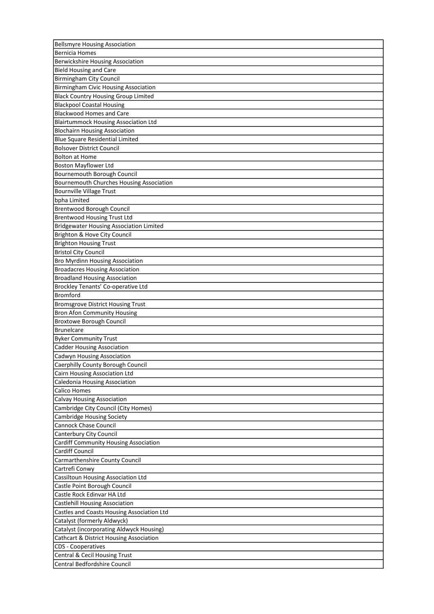| <b>Bellsmyre Housing Association</b>               |
|----------------------------------------------------|
| <b>Bernicia Homes</b>                              |
| <b>Berwickshire Housing Association</b>            |
| <b>Bield Housing and Care</b>                      |
| <b>Birmingham City Council</b>                     |
| <b>Birmingham Civic Housing Association</b>        |
| <b>Black Country Housing Group Limited</b>         |
| <b>Blackpool Coastal Housing</b>                   |
| <b>Blackwood Homes and Care</b>                    |
| <b>Blairtummock Housing Association Ltd</b>        |
| <b>Blochairn Housing Association</b>               |
| Blue Square Residential Limited                    |
| <b>Bolsover District Council</b>                   |
| <b>Bolton at Home</b>                              |
| <b>Boston Mayflower Ltd</b>                        |
| Bournemouth Borough Council                        |
| <b>Bournemouth Churches Housing Association</b>    |
| <b>Bournville Village Trust</b>                    |
| bpha Limited                                       |
| Brentwood Borough Council                          |
| <b>Brentwood Housing Trust Ltd</b>                 |
| <b>Bridgewater Housing Association Limited</b>     |
| Brighton & Hove City Council                       |
| <b>Brighton Housing Trust</b>                      |
| <b>Bristol City Council</b>                        |
|                                                    |
| <b>Bro Myrdinn Housing Association</b>             |
| <b>Broadacres Housing Association</b>              |
| <b>Broadland Housing Association</b>               |
| Brockley Tenants' Co-operative Ltd                 |
| <b>Bromford</b>                                    |
| <b>Bromsgrove District Housing Trust</b>           |
| <b>Bron Afon Community Housing</b>                 |
| <b>Broxtowe Borough Council</b>                    |
| <b>Brunelcare</b>                                  |
| <b>Byker Community Trust</b>                       |
| <b>Cadder Housing Association</b>                  |
| Cadwyn Housing Association                         |
| Caerphilly County Borough Council                  |
| Cairn Housing Association Ltd                      |
| Caledonia Housing Association                      |
| Calico Homes                                       |
| <b>Calvay Housing Association</b>                  |
| Cambridge City Council (City Homes)                |
| <b>Cambridge Housing Society</b>                   |
| Cannock Chase Council                              |
| Canterbury City Council                            |
| <b>Cardiff Community Housing Association</b>       |
| Cardiff Council                                    |
| Carmarthenshire County Council                     |
| Cartrefi Conwy                                     |
| Cassiltoun Housing Association Ltd                 |
| Castle Point Borough Council                       |
| Castle Rock Edinvar HA Ltd                         |
| <b>Castlehill Housing Association</b>              |
| Castles and Coasts Housing Association Ltd         |
| Catalyst (formerly Aldwyck)                        |
| Catalyst (incorporating Aldwyck Housing)           |
| <b>Cathcart &amp; District Housing Association</b> |
| CDS - Cooperatives                                 |
| Central & Cecil Housing Trust                      |
| Central Bedfordshire Council                       |
|                                                    |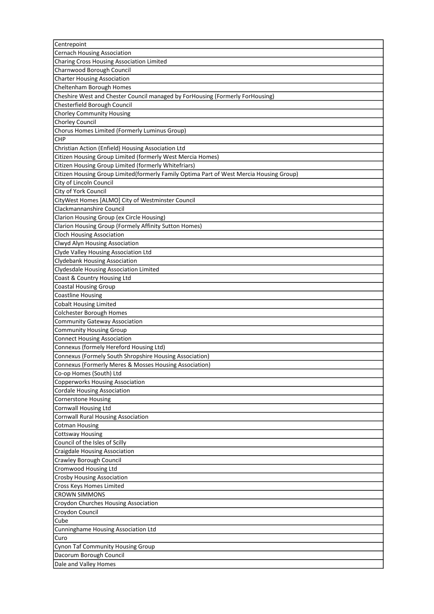| Centrepoint                                                                             |
|-----------------------------------------------------------------------------------------|
| <b>Cernach Housing Association</b>                                                      |
| Charing Cross Housing Association Limited                                               |
| Charnwood Borough Council                                                               |
| <b>Charter Housing Association</b>                                                      |
| Cheltenham Borough Homes                                                                |
| Cheshire West and Chester Council managed by ForHousing (Formerly ForHousing)           |
| Chesterfield Borough Council                                                            |
| <b>Chorley Community Housing</b>                                                        |
| Chorley Council                                                                         |
| Chorus Homes Limited (Formerly Luminus Group)                                           |
| <b>CHP</b>                                                                              |
| Christian Action (Enfield) Housing Association Ltd                                      |
| Citizen Housing Group Limited (formerly West Mercia Homes)                              |
| Citizen Housing Group Limited (formerly Whitefriars)                                    |
| Citizen Housing Group Limited(formerly Family Optima Part of West Mercia Housing Group) |
| City of Lincoln Council                                                                 |
| City of York Council                                                                    |
| CityWest Homes [ALMO] City of Westminster Council                                       |
| Clackmannanshire Council                                                                |
| Clarion Housing Group (ex Circle Housing)                                               |
| Clarion Housing Group (Formely Affinity Sutton Homes)                                   |
| <b>Cloch Housing Association</b>                                                        |
| Clwyd Alyn Housing Association                                                          |
| Clyde Valley Housing Association Ltd                                                    |
| <b>Clydebank Housing Association</b>                                                    |
| Clydesdale Housing Association Limited                                                  |
| Coast & Country Housing Ltd                                                             |
| <b>Coastal Housing Group</b>                                                            |
| <b>Coastline Housing</b>                                                                |
| <b>Cobalt Housing Limited</b>                                                           |
| <b>Colchester Borough Homes</b>                                                         |
| Community Gateway Association                                                           |
| <b>Community Housing Group</b>                                                          |
| <b>Connect Housing Association</b>                                                      |
| Connexus (formely Hereford Housing Ltd)                                                 |
| Connexus (Formely South Shropshire Housing Association)                                 |
| Connexus (Formerly Meres & Mosses Housing Association)                                  |
| Co-op Homes (South) Ltd                                                                 |
| <b>Copperworks Housing Association</b>                                                  |
| <b>Cordale Housing Association</b>                                                      |
| <b>Cornerstone Housing</b>                                                              |
| Cornwall Housing Ltd                                                                    |
| <b>Cornwall Rural Housing Association</b>                                               |
| <b>Cotman Housing</b>                                                                   |
| <b>Cottsway Housing</b>                                                                 |
| Council of the Isles of Scilly                                                          |
| Craigdale Housing Association                                                           |
| Crawley Borough Council                                                                 |
| Cromwood Housing Ltd                                                                    |
| Crosby Housing Association                                                              |
| Cross Keys Homes Limited                                                                |
| <b>CROWN SIMMONS</b>                                                                    |
| Croydon Churches Housing Association                                                    |
| Croydon Council                                                                         |
| Cube                                                                                    |
|                                                                                         |
| Cunninghame Housing Association Ltd<br>Curo                                             |
|                                                                                         |
| Cynon Taf Community Housing Group<br>Dacorum Borough Council                            |
|                                                                                         |
| Dale and Valley Homes                                                                   |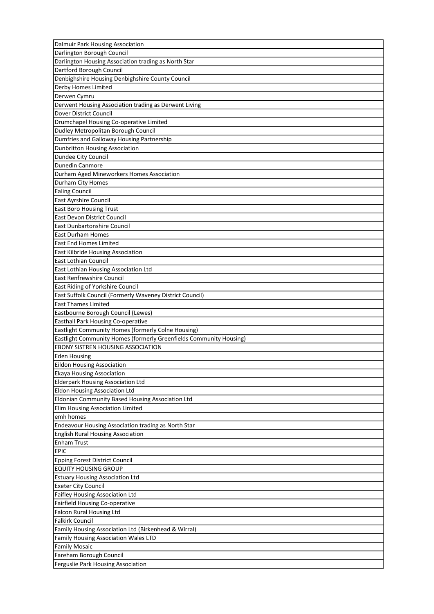| Dalmuir Park Housing Association                                   |
|--------------------------------------------------------------------|
| Darlington Borough Council                                         |
| Darlington Housing Association trading as North Star               |
| Dartford Borough Council                                           |
| Denbighshire Housing Denbighshire County Council                   |
| Derby Homes Limited                                                |
| Derwen Cymru                                                       |
| Derwent Housing Association trading as Derwent Living              |
| Dover District Council                                             |
| Drumchapel Housing Co-operative Limited                            |
| Dudley Metropolitan Borough Council                                |
| Dumfries and Galloway Housing Partnership                          |
| Dunbritton Housing Association                                     |
| Dundee City Council                                                |
| <b>Dunedin Canmore</b>                                             |
| Durham Aged Mineworkers Homes Association                          |
| Durham City Homes                                                  |
| <b>Ealing Council</b>                                              |
| East Ayrshire Council                                              |
| <b>East Boro Housing Trust</b>                                     |
| <b>East Devon District Council</b>                                 |
| <b>East Dunbartonshire Council</b>                                 |
| East Durham Homes                                                  |
| <b>East End Homes Limited</b>                                      |
| East Kilbride Housing Association                                  |
| <b>East Lothian Council</b>                                        |
| East Lothian Housing Association Ltd                               |
| <b>East Renfrewshire Council</b>                                   |
| East Riding of Yorkshire Council                                   |
| East Suffolk Council (Formerly Waveney District Council)           |
| <b>East Thames Limited</b>                                         |
| Eastbourne Borough Council (Lewes)                                 |
| Easthall Park Housing Co-operative                                 |
| Eastlight Community Homes (formerly Colne Housing)                 |
| Eastlight Community Homes (formerly Greenfields Community Housing) |
|                                                                    |
| <b>EBONY SISTREN HOUSING ASSOCIATION</b>                           |
| <b>Eden Housing</b>                                                |
| Eildon Housing Association                                         |
| Ekaya Housing Association                                          |
| <b>Elderpark Housing Association Ltd</b>                           |
| <b>Eldon Housing Association Ltd</b>                               |
| Eldonian Community Based Housing Association Ltd                   |
| Elim Housing Association Limited                                   |
| emh homes                                                          |
| Endeavour Housing Association trading as North Star                |
| <b>English Rural Housing Association</b>                           |
| <b>Enham Trust</b>                                                 |
| <b>EPIC</b>                                                        |
| Epping Forest District Council                                     |
| <b>EQUITY HOUSING GROUP</b>                                        |
| <b>Estuary Housing Association Ltd</b>                             |
| <b>Exeter City Council</b>                                         |
| Faifley Housing Association Ltd                                    |
| Fairfield Housing Co-operative                                     |
| <b>Falcon Rural Housing Ltd</b>                                    |
| <b>Falkirk Council</b>                                             |
| Family Housing Association Ltd (Birkenhead & Wirral)               |
| Family Housing Association Wales LTD                               |
| <b>Family Mosaic</b>                                               |
| Fareham Borough Council                                            |
| Ferguslie Park Housing Association                                 |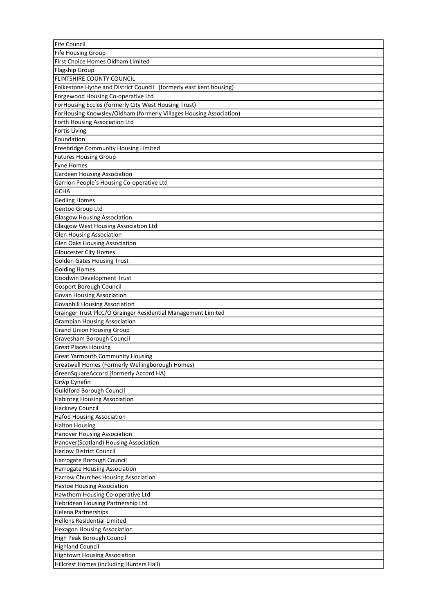| Fife Council                                                       |
|--------------------------------------------------------------------|
| <b>Fife Housing Group</b>                                          |
| First Choice Homes Oldham Limited                                  |
| Flagship Group                                                     |
| FLINTSHIRE COUNTY COUNCIL                                          |
| Folkestone Hythe and District Council (formerly east kent housing) |
| Forgewood Housing Co-operative Ltd                                 |
| ForHousing Eccles (formerly City West Housing Trust)               |
| ForHousing Knowsley/Oldham (formerly Villages Housing Association) |
| Forth Housing Association Ltd                                      |
| <b>Fortis Living</b>                                               |
| Foundation                                                         |
| Freebridge Community Housing Limited                               |
| <b>Futures Housing Group</b>                                       |
| <b>Fyne Homes</b>                                                  |
| <b>Gardeen Housing Association</b>                                 |
| Garrion People's Housing Co-operative Ltd                          |
| <b>GCHA</b>                                                        |
| <b>Gedling Homes</b>                                               |
| Gentoo Group Ltd                                                   |
| <b>Glasgow Housing Association</b>                                 |
| Glasgow West Housing Association Ltd                               |
| <b>Glen Housing Association</b>                                    |
| <b>Glen Oaks Housing Association</b>                               |
| <b>Gloucester City Homes</b>                                       |
| <b>Golden Gates Housing Trust</b>                                  |
| <b>Golding Homes</b>                                               |
| Goodwin Development Trust                                          |
| <b>Gosport Borough Council</b>                                     |
| <b>Govan Housing Association</b>                                   |
| <b>Govanhill Housing Association</b>                               |
| Grainger Trust PlcC/O Grainger Residential Management Limited      |
| <b>Grampian Housing Association</b>                                |
| <b>Grand Union Housing Group</b>                                   |
| Gravesham Borough Council                                          |
|                                                                    |
| <b>Great Places Housing</b>                                        |
| <b>Great Yarmouth Community Housing</b>                            |
| Greatwell Homes (Formerly Wellingborough Homes)                    |
| GreenSquareAccord (formerly Accord HA)                             |
| Grŵp Cynefin                                                       |
| Guildford Borough Council                                          |
| <b>Habinteg Housing Association</b>                                |
| <b>Hackney Council</b>                                             |
| <b>Hafod Housing Association</b>                                   |
| <b>Halton Housing</b>                                              |
| <b>Hanover Housing Association</b>                                 |
| Hanover(Scotland) Housing Association                              |
| <b>Harlow District Council</b>                                     |
| Harrogate Borough Council                                          |
| Harrogate Housing Association                                      |
| Harrow Churches Housing Association                                |
| <b>Hastoe Housing Association</b>                                  |
| Hawthorn Housing Co-operative Ltd                                  |
| Hebridean Housing Partnership Ltd                                  |
| Helena Partnerships                                                |
| <b>Hellens Residential Limited</b>                                 |
| <b>Hexagon Housing Association</b>                                 |
| High Peak Borough Council                                          |
| <b>Highland Council</b>                                            |
| <b>Hightown Housing Association</b>                                |
| Hillcrest Homes (including Hunters Hall)                           |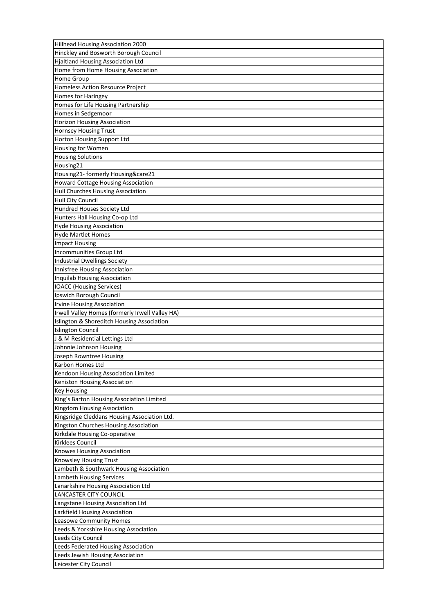| Hillhead Housing Association 2000                                      |
|------------------------------------------------------------------------|
| Hinckley and Bosworth Borough Council                                  |
| <b>Hjaltland Housing Association Ltd</b>                               |
| Home from Home Housing Association                                     |
| <b>Home Group</b>                                                      |
| Homeless Action Resource Project                                       |
| Homes for Haringey                                                     |
| Homes for Life Housing Partnership                                     |
| Homes in Sedgemoor                                                     |
| <b>Horizon Housing Association</b>                                     |
| Hornsey Housing Trust                                                  |
| Horton Housing Support Ltd                                             |
| Housing for Women                                                      |
| <b>Housing Solutions</b>                                               |
| Housing21                                                              |
| Housing21- formerly Housing&care21                                     |
| <b>Howard Cottage Housing Association</b>                              |
| Hull Churches Housing Association                                      |
| <b>Hull City Council</b>                                               |
| Hundred Houses Society Ltd                                             |
| Hunters Hall Housing Co-op Ltd                                         |
| <b>Hyde Housing Association</b>                                        |
| <b>Hyde Martlet Homes</b>                                              |
| <b>Impact Housing</b>                                                  |
| Incommunities Group Ltd                                                |
| <b>Industrial Dwellings Society</b>                                    |
| Innisfree Housing Association                                          |
| Inquilab Housing Association                                           |
| <b>IOACC</b> (Housing Services)                                        |
| Ipswich Borough Council                                                |
| <b>Irvine Housing Association</b>                                      |
| Irwell Valley Homes (formerly Irwell Valley HA)                        |
|                                                                        |
| Islington & Shoreditch Housing Association<br><b>Islington Council</b> |
|                                                                        |
| J & M Residential Lettings Ltd                                         |
| Johnnie Johnson Housing                                                |
| Joseph Rowntree Housing                                                |
| Karbon Homes Ltd                                                       |
| Kendoon Housing Association Limited                                    |
| Keniston Housing Association                                           |
| <b>Key Housing</b>                                                     |
| King's Barton Housing Association Limited                              |
| Kingdom Housing Association                                            |
| Kingsridge Cleddans Housing Association Ltd.                           |
| Kingston Churches Housing Association                                  |
| Kirkdale Housing Co-operative                                          |
| Kirklees Council                                                       |
| Knowes Housing Association                                             |
| Knowsley Housing Trust                                                 |
| Lambeth & Southwark Housing Association                                |
| Lambeth Housing Services                                               |
| Lanarkshire Housing Association Ltd                                    |
| LANCASTER CITY COUNCIL                                                 |
| Langstane Housing Association Ltd                                      |
| Larkfield Housing Association                                          |
| Leasowe Community Homes                                                |
| Leeds & Yorkshire Housing Association                                  |
| Leeds City Council                                                     |
| Leeds Federated Housing Association                                    |
| Leeds Jewish Housing Association                                       |
| Leicester City Council                                                 |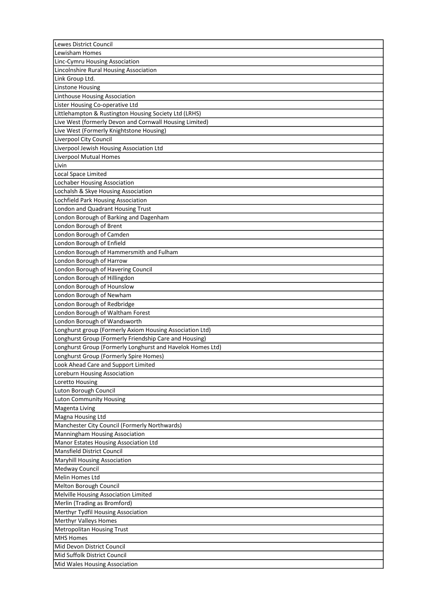| Lewes District Council                                     |
|------------------------------------------------------------|
| Lewisham Homes                                             |
| Linc-Cymru Housing Association                             |
| Lincolnshire Rural Housing Association                     |
| Link Group Ltd.                                            |
| <b>Linstone Housing</b>                                    |
| Linthouse Housing Association                              |
| Lister Housing Co-operative Ltd                            |
| Littlehampton & Rustington Housing Society Ltd (LRHS)      |
| Live West (formerly Devon and Cornwall Housing Limited)    |
| Live West (Formerly Knightstone Housing)                   |
| Liverpool City Council                                     |
| Liverpool Jewish Housing Association Ltd                   |
| <b>Liverpool Mutual Homes</b>                              |
| Livin                                                      |
| Local Space Limited                                        |
| <b>Lochaber Housing Association</b>                        |
| Lochalsh & Skye Housing Association                        |
| Lochfield Park Housing Association                         |
|                                                            |
| London and Quadrant Housing Trust                          |
| London Borough of Barking and Dagenham                     |
| London Borough of Brent                                    |
| London Borough of Camden                                   |
| London Borough of Enfield                                  |
| London Borough of Hammersmith and Fulham                   |
| London Borough of Harrow                                   |
| London Borough of Havering Council                         |
| London Borough of Hillingdon                               |
| London Borough of Hounslow                                 |
| London Borough of Newham                                   |
| London Borough of Redbridge                                |
| London Borough of Waltham Forest                           |
| London Borough of Wandsworth                               |
| Longhurst group (Formerly Axiom Housing Association Ltd)   |
| Longhurst Group (Formerly Friendship Care and Housing)     |
| Longhurst Group (Formerly Longhurst and Havelok Homes Ltd) |
| Longhurst Group (Formerly Spire Homes)                     |
| Look Ahead Care and Support Limited                        |
| Loreburn Housing Association                               |
| Loretto Housing                                            |
| Luton Borough Council                                      |
| <b>Luton Community Housing</b>                             |
| Magenta Living                                             |
| Magna Housing Ltd                                          |
| Manchester City Council (Formerly Northwards)              |
| Manningham Housing Association                             |
| Manor Estates Housing Association Ltd                      |
| Mansfield District Council                                 |
| <b>Maryhill Housing Association</b>                        |
| Medway Council                                             |
| Melin Homes Ltd                                            |
|                                                            |
| Melton Borough Council                                     |
| Melville Housing Association Limited                       |
| Merlin (Trading as Bromford)                               |
| Merthyr Tydfil Housing Association                         |
| <b>Merthyr Valleys Homes</b>                               |
| <b>Metropolitan Housing Trust</b>                          |
| <b>MHS Homes</b>                                           |
| Mid Devon District Council                                 |
| Mid Suffolk District Council                               |
| Mid Wales Housing Association                              |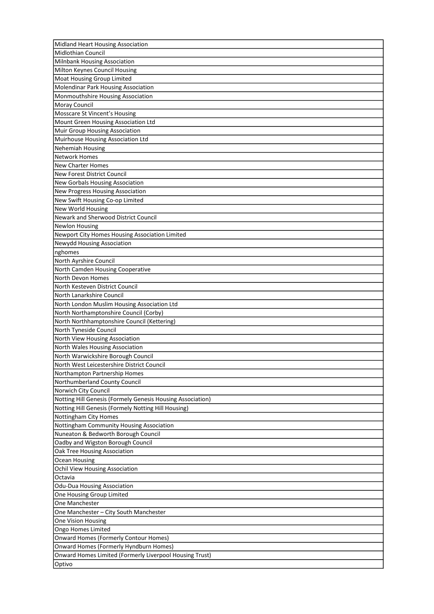| Midland Heart Housing Association                          |
|------------------------------------------------------------|
| <b>Midlothian Council</b>                                  |
| <b>Milnbank Housing Association</b>                        |
| Milton Keynes Council Housing                              |
| Moat Housing Group Limited                                 |
| <b>Molendinar Park Housing Association</b>                 |
| Monmouthshire Housing Association                          |
| <b>Moray Council</b>                                       |
| Mosscare St Vincent's Housing                              |
| Mount Green Housing Association Ltd                        |
| Muir Group Housing Association                             |
| Muirhouse Housing Association Ltd                          |
| Nehemiah Housing                                           |
| <b>Network Homes</b>                                       |
| New Charter Homes                                          |
| New Forest District Council                                |
| New Gorbals Housing Association                            |
| New Progress Housing Association                           |
| New Swift Housing Co-op Limited                            |
| <b>New World Housing</b>                                   |
| Newark and Sherwood District Council                       |
| <b>Newlon Housing</b>                                      |
| Newport City Homes Housing Association Limited             |
| Newydd Housing Association                                 |
| nghomes                                                    |
| North Ayrshire Council                                     |
| North Camden Housing Cooperative                           |
| North Devon Homes                                          |
| North Kesteven District Council                            |
| North Lanarkshire Council                                  |
| North London Muslim Housing Association Ltd                |
| North Northamptonshire Council (Corby)                     |
| North Northhamptonshire Council (Kettering)                |
|                                                            |
| North Tyneside Council<br>North View Housing Association   |
|                                                            |
| North Wales Housing Association                            |
| North Warwickshire Borough Council                         |
| North West Leicestershire District Council                 |
| Northampton Partnership Homes                              |
| Northumberland County Council                              |
| Norwich City Council                                       |
| Notting Hill Genesis (Formely Genesis Housing Association) |
| Notting Hill Genesis (Formely Notting Hill Housing)        |
| Nottingham City Homes                                      |
| Nottingham Community Housing Association                   |
| Nuneaton & Bedworth Borough Council                        |
| Oadby and Wigston Borough Council                          |
| Oak Tree Housing Association                               |
| Ocean Housing                                              |
| Ochil View Housing Association                             |
| Octavia                                                    |
| <b>Odu-Dua Housing Association</b>                         |
| One Housing Group Limited                                  |
| One Manchester                                             |
| One Manchester - City South Manchester                     |
| One Vision Housing                                         |
| Ongo Homes Limited                                         |
| <b>Onward Homes (Formerly Contour Homes)</b>               |
| Onward Homes (Formerly Hyndburn Homes)                     |
| Onward Homes Limited (Formerly Liverpool Housing Trust)    |
| Optivo                                                     |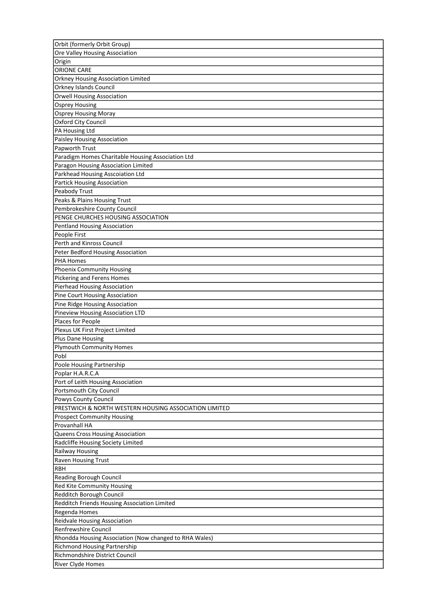| Orbit (formerly Orbit Group)                           |
|--------------------------------------------------------|
| Ore Valley Housing Association                         |
| Origin                                                 |
| ORIONE CARE                                            |
| Orkney Housing Association Limited                     |
| Orkney Islands Council                                 |
| <b>Orwell Housing Association</b>                      |
| <b>Osprey Housing</b>                                  |
| <b>Osprey Housing Moray</b>                            |
| Oxford City Council                                    |
| PA Housing Ltd                                         |
| Paisley Housing Association                            |
| Papworth Trust                                         |
| Paradigm Homes Charitable Housing Association Ltd      |
| Paragon Housing Association Limited                    |
| Parkhead Housing Asscoiation Ltd                       |
| Partick Housing Association                            |
| Peabody Trust                                          |
| Peaks & Plains Housing Trust                           |
| Pembrokeshire County Council                           |
| PENGE CHURCHES HOUSING ASSOCIATION                     |
|                                                        |
| Pentland Housing Association                           |
| People First<br>Perth and Kinross Council              |
|                                                        |
| Peter Bedford Housing Association                      |
| <b>PHA Homes</b>                                       |
| <b>Phoenix Community Housing</b>                       |
| Pickering and Ferens Homes                             |
| <b>Pierhead Housing Association</b>                    |
| Pine Court Housing Association                         |
| Pine Ridge Housing Association                         |
| <b>Pineview Housing Association LTD</b>                |
| Places for People                                      |
| Plexus UK First Project Limited                        |
| <b>Plus Dane Housing</b>                               |
| <b>Plymouth Community Homes</b>                        |
| Pobl                                                   |
| Poole Housing Partnership                              |
| Poplar H.A.R.C.A                                       |
| Port of Leith Housing Association                      |
| Portsmouth City Council                                |
| Powys County Council                                   |
| PRESTWICH & NORTH WESTERN HOUSING ASSOCIATION LIMITED  |
| <b>Prospect Community Housing</b>                      |
| Provanhall HA                                          |
| Queens Cross Housing Association                       |
| Radcliffe Housing Society Limited                      |
| Railway Housing                                        |
| <b>Raven Housing Trust</b>                             |
| <b>RBH</b>                                             |
| Reading Borough Council                                |
| Red Kite Community Housing                             |
| Redditch Borough Council                               |
| Redditch Friends Housing Association Limited           |
| Regenda Homes                                          |
| Reidvale Housing Association                           |
| Renfrewshire Council                                   |
| Rhondda Housing Association (Now changed to RHA Wales) |
| Richmond Housing Partnership                           |
| Richmondshire District Council                         |
| River Clyde Homes                                      |
|                                                        |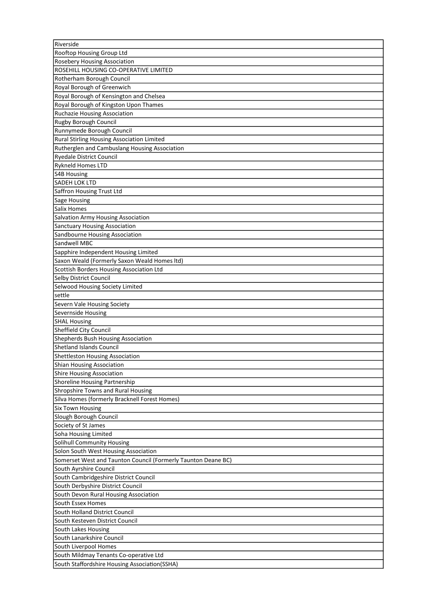| Riverside                                                             |
|-----------------------------------------------------------------------|
| Rooftop Housing Group Ltd                                             |
| Rosebery Housing Association                                          |
| ROSEHILL HOUSING CO-OPERATIVE LIMITED                                 |
| Rotherham Borough Council                                             |
| Royal Borough of Greenwich                                            |
| Royal Borough of Kensington and Chelsea                               |
| Royal Borough of Kingston Upon Thames                                 |
| Ruchazie Housing Association                                          |
| Rugby Borough Council                                                 |
| Runnymede Borough Council                                             |
| Rural Stirling Housing Association Limited                            |
| Rutherglen and Cambuslang Housing Association                         |
| <b>Ryedale District Council</b>                                       |
| <b>Rykneld Homes LTD</b>                                              |
| <b>S4B Housing</b>                                                    |
| SADEH LOK LTD                                                         |
| Saffron Housing Trust Ltd                                             |
| <b>Sage Housing</b>                                                   |
| Salix Homes                                                           |
| Salvation Army Housing Association                                    |
| <b>Sanctuary Housing Association</b>                                  |
| Sandbourne Housing Association                                        |
| Sandwell MBC                                                          |
| Sapphire Independent Housing Limited                                  |
| Saxon Weald (Formerly Saxon Weald Homes Itd)                          |
| Scottish Borders Housing Association Ltd                              |
| Selby District Council                                                |
|                                                                       |
| Selwood Housing Society Limited<br>settle                             |
|                                                                       |
| Severn Vale Housing Society<br>Severnside Housing                     |
|                                                                       |
| <b>SHAL Housing</b><br>Sheffield City Council                         |
|                                                                       |
| Shepherds Bush Housing Association<br><b>Shetland Islands Council</b> |
|                                                                       |
| Shettleston Housing Association                                       |
| <b>Shian Housing Association</b>                                      |
| Shire Housing Association                                             |
| Shoreline Housing Partnership                                         |
| Shropshire Towns and Rural Housing                                    |
| Silva Homes (formerly Bracknell Forest Homes)                         |
| <b>Six Town Housing</b>                                               |
| Slough Borough Council                                                |
| Society of St James                                                   |
| Soha Housing Limited                                                  |
| Solihull Community Housing                                            |
| Solon South West Housing Association                                  |
| Somerset West and Taunton Council (Formerly Taunton Deane BC)         |
| South Ayrshire Council                                                |
| South Cambridgeshire District Council                                 |
| South Derbyshire District Council                                     |
| South Devon Rural Housing Association                                 |
| South Essex Homes                                                     |
| South Holland District Council                                        |
| South Kesteven District Council                                       |
| South Lakes Housing                                                   |
| South Lanarkshire Council                                             |
| South Liverpool Homes                                                 |
| South Mildmay Tenants Co-operative Ltd                                |
| South Staffordshire Housing Association(SSHA)                         |
|                                                                       |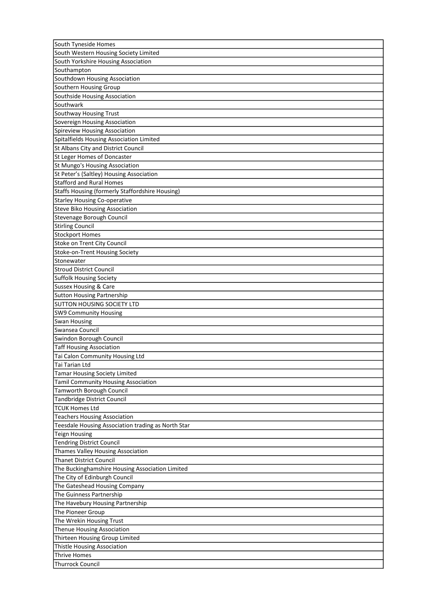| South Tyneside Homes                                   |
|--------------------------------------------------------|
| South Western Housing Society Limited                  |
| South Yorkshire Housing Association                    |
| Southampton                                            |
| Southdown Housing Association                          |
| Southern Housing Group                                 |
| Southside Housing Association                          |
| Southwark                                              |
| Southway Housing Trust                                 |
| Sovereign Housing Association                          |
| Spireview Housing Association                          |
| Spitalfields Housing Association Limited               |
| St Albans City and District Council                    |
| St Leger Homes of Doncaster                            |
| St Mungo's Housing Association                         |
| St Peter's (Saltley) Housing Association               |
| <b>Stafford and Rural Homes</b>                        |
| <b>Staffs Housing (formerly Staffordshire Housing)</b> |
| <b>Starley Housing Co-operative</b>                    |
| <b>Steve Biko Housing Association</b>                  |
| Stevenage Borough Council                              |
| <b>Stirling Council</b>                                |
| <b>Stockport Homes</b>                                 |
| Stoke on Trent City Council                            |
| Stoke-on-Trent Housing Society                         |
| Stonewater                                             |
| <b>Stroud District Council</b>                         |
| <b>Suffolk Housing Society</b>                         |
| <b>Sussex Housing &amp; Care</b>                       |
| <b>Sutton Housing Partnership</b>                      |
| <b>SUTTON HOUSING SOCIETY LTD</b>                      |
|                                                        |
| <b>SW9 Community Housing</b>                           |
| <b>Swan Housing</b><br>Swansea Council                 |
| Swindon Borough Council                                |
|                                                        |
| <b>Taff Housing Association</b>                        |
| Tai Calon Community Housing Ltd                        |
| Tai Tarian Ltd                                         |
| <b>Tamar Housing Society Limited</b>                   |
| Tamil Community Housing Association                    |
| <b>Tamworth Borough Council</b>                        |
| Tandbridge District Council                            |
| <b>TCUK Homes Ltd</b>                                  |
| <b>Teachers Housing Association</b>                    |
| Teesdale Housing Association trading as North Star     |
| <b>Teign Housing</b>                                   |
| <b>Tendring District Council</b>                       |
| Thames Valley Housing Association                      |
| <b>Thanet District Council</b>                         |
| The Buckinghamshire Housing Association Limited        |
| The City of Edinburgh Council                          |
| The Gateshead Housing Company                          |
| The Guinness Partnership                               |
| The Havebury Housing Partnership                       |
| The Pioneer Group                                      |
| The Wrekin Housing Trust                               |
| Thenue Housing Association                             |
| Thirteen Housing Group Limited                         |
| Thistle Housing Association                            |
| <b>Thrive Homes</b>                                    |
| <b>Thurrock Council</b>                                |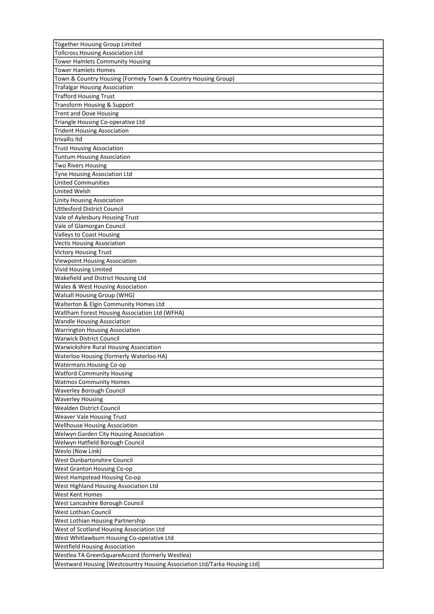| Together Housing Group Limited                                           |
|--------------------------------------------------------------------------|
| <b>Tollcross Housing Association Ltd</b>                                 |
| <b>Tower Hamlets Community Housing</b>                                   |
| <b>Tower Hamlets Homes</b>                                               |
| Town & Country Housing (Formely Town & Country Housing Group)            |
| <b>Trafalgar Housing Association</b>                                     |
| <b>Trafford Housing Trust</b>                                            |
| Transform Housing & Support                                              |
| <b>Trent and Dove Housing</b>                                            |
| Triangle Housing Co-operative Ltd                                        |
| <b>Trident Housing Association</b>                                       |
| trivallis Itd                                                            |
| <b>Trust Housing Association</b>                                         |
| <b>Tuntum Housing Association</b>                                        |
| <b>Two Rivers Housing</b>                                                |
| Tyne Housing Association Ltd                                             |
| <b>United Communities</b>                                                |
| <b>United Welsh</b>                                                      |
| Unity Housing Association                                                |
| <b>Uttlesford District Council</b>                                       |
| Vale of Aylesbury Housing Trust                                          |
| Vale of Glamorgan Council                                                |
|                                                                          |
| Valleys to Coast Housing                                                 |
| <b>Vectis Housing Association</b>                                        |
| <b>Victory Housing Trust</b>                                             |
| <b>Viewpoint Housing Association</b>                                     |
| Vivid Housing Limited                                                    |
| Wakefield and District Housing Ltd                                       |
| Wales & West Housing Association                                         |
| Walsall Housing Group (WHG)                                              |
| Walterton & Elgin Community Homes Ltd                                    |
| Waltham Forest Housing Association Ltd (WFHA)                            |
| <b>Wandle Housing Association</b>                                        |
| Warrington Housing Association                                           |
| <b>Warwick District Council</b>                                          |
| <b>Warwickshire Rural Housing Association</b>                            |
| Waterloo Housing (formerly Waterloo HA)                                  |
| <b>Watermans Housing Co-op</b>                                           |
| <b>Watford Community Housing</b>                                         |
| <b>Watmos Community Homes</b>                                            |
| <b>Waverley Borough Council</b>                                          |
| <b>Waverley Housing</b>                                                  |
| Wealden District Council                                                 |
| <b>Weaver Vale Housing Trust</b>                                         |
| <b>Wellhouse Housing Association</b>                                     |
| Welwyn Garden City Housing Association                                   |
| Welwyn Hatfield Borough Council                                          |
| Weslo (Now Link)                                                         |
| West Dunbartonshire Council                                              |
| <b>West Granton Housing Co-op</b>                                        |
| West Hampstead Housing Co-op                                             |
| West Highland Housing Association Ltd                                    |
| West Kent Homes                                                          |
| West Lancashire Borough Council                                          |
| West Lothian Council                                                     |
| West Lothian Housing Partnership                                         |
| West of Scotland Housing Association Ltd                                 |
| West Whitlawburn Housing Co-operative Ltd                                |
| <b>Westfield Housing Association</b>                                     |
| Westlea TA GreenSquareAccord (formerly Westlea)                          |
| Westward Housing [Westcountry Housing Association Ltd/Tarka Housing Ltd] |
|                                                                          |